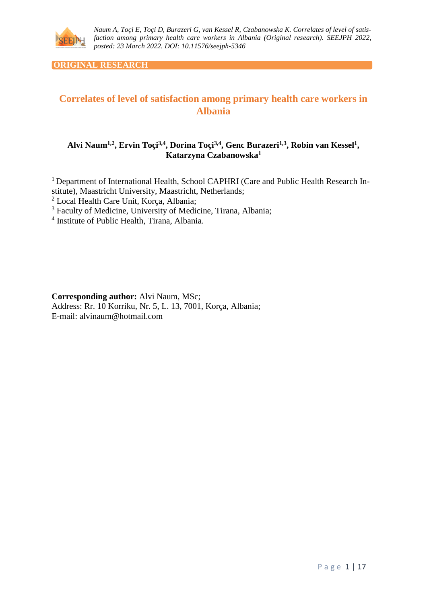

**ORIGINAL RESEARCH**

# **Correlates of level of satisfaction among primary health care workers in Albania**

# **Alvi Naum1,2, Ervin Toçi3,4, Dorina Toçi3,4, Genc Burazeri1,3, Robin van Kessel<sup>1</sup> , Katarzyna Czabanowska<sup>1</sup>**

<sup>1</sup> Department of International Health, School CAPHRI (Care and Public Health Research Institute), Maastricht University, Maastricht, Netherlands;

- <sup>2</sup> Local Health Care Unit, Korça, Albania;
- <sup>3</sup> Faculty of Medicine, University of Medicine, Tirana, Albania;
- 4 Institute of Public Health, Tirana, Albania.

**Corresponding author:** Alvi Naum, MSc; Address: Rr. 10 Korriku, Nr. 5, L. 13, 7001, Korça, Albania; E-mail: alvinaum@hotmail.com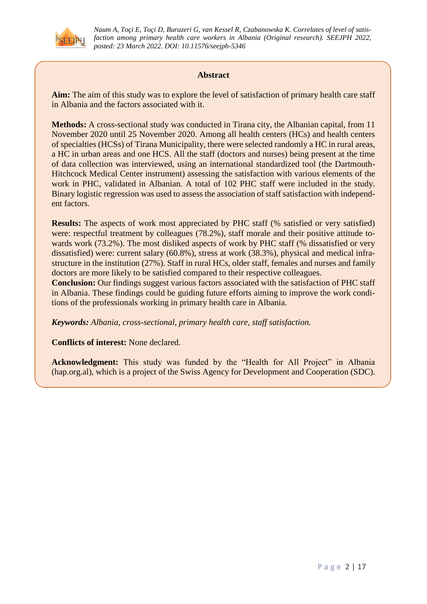

# **Abstract**

**Aim:** The aim of this study was to explore the level of satisfaction of primary health care staff in Albania and the factors associated with it.

**Methods:** A cross-sectional study was conducted in Tirana city, the Albanian capital, from 11 November 2020 until 25 November 2020. Among all health centers (HCs) and health centers of specialties (HCSs) of Tirana Municipality, there were selected randomly a HC in rural areas, a HC in urban areas and one HCS. All the staff (doctors and nurses) being present at the time of data collection was interviewed, using an international standardized tool (the Dartmouth-Hitchcock Medical Center instrument) assessing the satisfaction with various elements of the work in PHC, validated in Albanian. A total of 102 PHC staff were included in the study. Binary logistic regression was used to assess the association of staff satisfaction with independent factors.

**Results:** The aspects of work most appreciated by PHC staff (% satisfied or very satisfied) were: respectful treatment by colleagues (78.2%), staff morale and their positive attitude towards work (73.2%). The most disliked aspects of work by PHC staff (% dissatisfied or very dissatisfied) were: current salary (60.8%), stress at work (38.3%), physical and medical infrastructure in the institution (27%). Staff in rural HCs, older staff, females and nurses and family doctors are more likely to be satisfied compared to their respective colleagues.

**Conclusion:** Our findings suggest various factors associated with the satisfaction of PHC staff in Albania. These findings could be guiding future efforts aiming to improve the work conditions of the professionals working in primary health care in Albania.

*Keywords: Albania, cross-sectional, primary health care, staff satisfaction.*

**Conflicts of interest:** None declared.

**Acknowledgment:** This study was funded by the "Health for All Project" in Albania (hap.org.al), which is a project of the Swiss Agency for Development and Cooperation (SDC).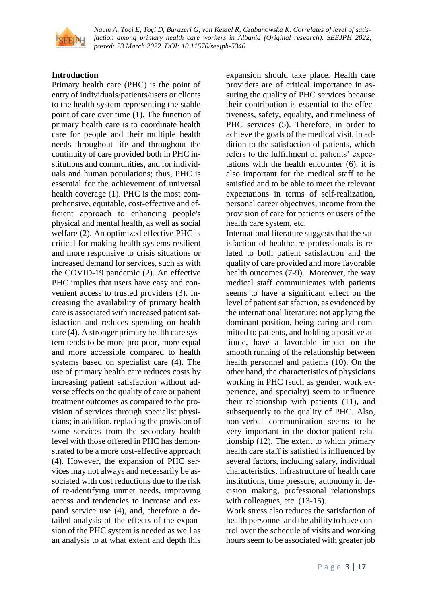

### **Introduction**

Primary health care (PHC) is the point of entry of individuals/patients/users or clients to the health system representing the stable point of care over time (1). The function of primary health care is to coordinate health care for people and their multiple health needs throughout life and throughout the continuity of care provided both in PHC institutions and communities, and for individuals and human populations; thus, PHC is essential for the achievement of universal health coverage (1). PHC is the most comprehensive, equitable, cost-effective and efficient approach to enhancing people's physical and mental health, as well as social welfare (2). An optimized effective PHC is critical for making health systems resilient and more responsive to crisis situations or increased demand for services, such as with the COVID-19 pandemic (2). An effective PHC implies that users have easy and convenient access to trusted providers (3). Increasing the availability of primary health care is associated with increased patient satisfaction and reduces spending on health care (4). A stronger primary health care system tends to be more pro-poor, more equal and more accessible compared to health systems based on specialist care (4). The use of primary health care reduces costs by increasing patient satisfaction without adverse effects on the quality of care or patient treatment outcomes as compared to the provision of services through specialist physicians; in addition, replacing the provision of some services from the secondary health level with those offered in PHC has demonstrated to be a more cost-effective approach (4). However, the expansion of PHC services may not always and necessarily be associated with cost reductions due to the risk of re-identifying unmet needs, improving access and tendencies to increase and expand service use (4), and, therefore a detailed analysis of the effects of the expansion of the PHC system is needed as well as an analysis to at what extent and depth this

expansion should take place. Health care providers are of critical importance in assuring the quality of PHC services because their contribution is essential to the effectiveness, safety, equality, and timeliness of PHC services (5). Therefore, in order to achieve the goals of the medical visit, in addition to the satisfaction of patients, which refers to the fulfillment of patients' expectations with the health encounter (6), it is also important for the medical staff to be satisfied and to be able to meet the relevant expectations in terms of self-realization, personal career objectives, income from the provision of care for patients or users of the health care system, etc.

International literature suggests that the satisfaction of healthcare professionals is related to both patient satisfaction and the quality of care provided and more favorable health outcomes (7-9). Moreover, the way medical staff communicates with patients seems to have a significant effect on the level of patient satisfaction, as evidenced by the international literature: not applying the dominant position, being caring and committed to patients, and holding a positive attitude, have a favorable impact on the smooth running of the relationship between health personnel and patients (10). On the other hand, the characteristics of physicians working in PHC (such as gender, work experience, and specialty) seem to influence their relationship with patients (11), and subsequently to the quality of PHC. Also, non-verbal communication seems to be very important in the doctor-patient relationship (12). The extent to which primary health care staff is satisfied is influenced by several factors, including salary, individual characteristics, infrastructure of health care institutions, time pressure, autonomy in decision making, professional relationships with colleagues, etc.  $(13-15)$ .

Work stress also reduces the satisfaction of health personnel and the ability to have control over the schedule of visits and working hours seem to be associated with greater job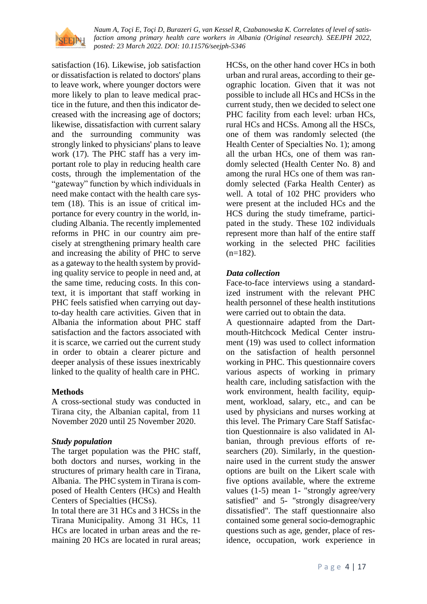

satisfaction (16). Likewise, job satisfaction or dissatisfaction is related to doctors' plans to leave work, where younger doctors were more likely to plan to leave medical practice in the future, and then this indicator decreased with the increasing age of doctors; likewise, dissatisfaction with current salary and the surrounding community was strongly linked to physicians' plans to leave work (17). The PHC staff has a very important role to play in reducing health care costs, through the implementation of the "gateway" function by which individuals in need make contact with the health care system (18). This is an issue of critical importance for every country in the world, including Albania. The recently implemented reforms in PHC in our country aim precisely at strengthening primary health care and increasing the ability of PHC to serve as a gateway to the health system by providing quality service to people in need and, at the same time, reducing costs. In this context, it is important that staff working in PHC feels satisfied when carrying out dayto-day health care activities. Given that in Albania the information about PHC staff satisfaction and the factors associated with it is scarce, we carried out the current study in order to obtain a clearer picture and deeper analysis of these issues inextricably linked to the quality of health care in PHC.

# **Methods**

A cross-sectional study was conducted in Tirana city, the Albanian capital, from 11 November 2020 until 25 November 2020.

# *Study population*

The target population was the PHC staff, both doctors and nurses, working in the structures of primary health care in Tirana, Albania. The PHC system in Tirana is composed of Health Centers (HCs) and Health Centers of Specialties (HCSs).

In total there are 31 HCs and 3 HCSs in the Tirana Municipality. Among 31 HCs, 11 HCs are located in urban areas and the remaining 20 HCs are located in rural areas;

HCSs, on the other hand cover HCs in both urban and rural areas, according to their geographic location. Given that it was not possible to include all HCs and HCSs in the current study, then we decided to select one PHC facility from each level: urban HCs, rural HCs and HCSs. Among all the HSCs, one of them was randomly selected (the Health Center of Specialties No. 1); among all the urban HCs, one of them was randomly selected (Health Center No. 8) and among the rural HCs one of them was randomly selected (Farka Health Center) as well. A total of 102 PHC providers who were present at the included HCs and the HCS during the study timeframe, participated in the study. These 102 individuals represent more than half of the entire staff working in the selected PHC facilities  $(n=182)$ .

# *Data collection*

Face-to-face interviews using a standardized instrument with the relevant PHC health personnel of these health institutions were carried out to obtain the data.

A questionnaire adapted from the Dartmouth-Hitchcock Medical Center instrument (19) was used to collect information on the satisfaction of health personnel working in PHC. This questionnaire covers various aspects of working in primary health care, including satisfaction with the work environment, health facility, equipment, workload, salary, etc., and can be used by physicians and nurses working at this level. The Primary Care Staff Satisfaction Questionnaire is also validated in Albanian, through previous efforts of researchers (20). Similarly, in the questionnaire used in the current study the answer options are built on the Likert scale with five options available, where the extreme values (1-5) mean 1- "strongly agree/very satisfied" and 5- "strongly disagree/very dissatisfied". The staff questionnaire also contained some general socio-demographic questions such as age, gender, place of residence, occupation, work experience in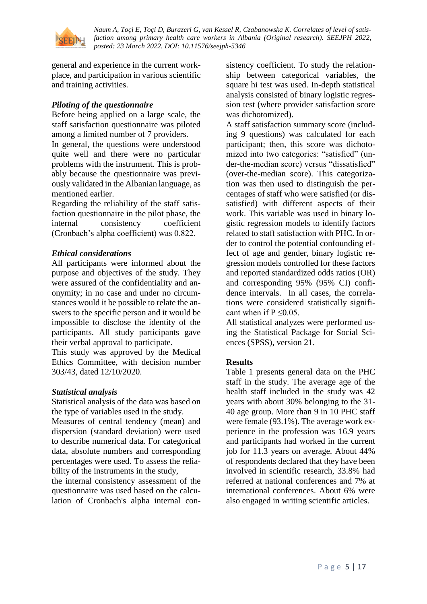

general and experience in the current workplace, and participation in various scientific and training activities.

# *Piloting of the questionnaire*

Before being applied on a large scale, the staff satisfaction questionnaire was piloted among a limited number of 7 providers.

In general, the questions were understood quite well and there were no particular problems with the instrument. This is probably because the questionnaire was previously validated in the Albanian language, as mentioned earlier.

Regarding the reliability of the staff satisfaction questionnaire in the pilot phase, the internal consistency coefficient (Cronbach's alpha coefficient) was 0.822.

#### *Ethical considerations*

All participants were informed about the purpose and objectives of the study. They were assured of the confidentiality and anonymity; in no case and under no circumstances would it be possible to relate the answers to the specific person and it would be impossible to disclose the identity of the participants. All study participants gave their verbal approval to participate.

This study was approved by the Medical Ethics Committee, with decision number 303/43, dated 12/10/2020.

#### *Statistical analysis*

Statistical analysis of the data was based on the type of variables used in the study.

Measures of central tendency (mean) and dispersion (standard deviation) were used to describe numerical data. For categorical data, absolute numbers and corresponding percentages were used. To assess the reliability of the instruments in the study,

the internal consistency assessment of the questionnaire was used based on the calculation of Cronbach's alpha internal consistency coefficient. To study the relationship between categorical variables, the square hi test was used. In-depth statistical analysis consisted of binary logistic regression test (where provider satisfaction score was dichotomized).

A staff satisfaction summary score (including 9 questions) was calculated for each participant; then, this score was dichotomized into two categories: "satisfied" (under-the-median score) versus "dissatisfied" (over-the-median score). This categorization was then used to distinguish the percentages of staff who were satisfied (or dissatisfied) with different aspects of their work. This variable was used in binary logistic regression models to identify factors related to staff satisfaction with PHC. In order to control the potential confounding effect of age and gender, binary logistic regression models controlled for these factors and reported standardized odds ratios (OR) and corresponding 95% (95% CI) confidence intervals. In all cases, the correlations were considered statistically significant when if  $P \le 0.05$ .

All statistical analyzes were performed using the Statistical Package for Social Sciences (SPSS), version 21.

#### **Results**

Table 1 presents general data on the PHC staff in the study. The average age of the health staff included in the study was 42 years with about 30% belonging to the 31- 40 age group. More than 9 in 10 PHC staff were female (93.1%). The average work experience in the profession was 16.9 years and participants had worked in the current job for 11.3 years on average. About 44% of respondents declared that they have been involved in scientific research, 33.8% had referred at national conferences and 7% at international conferences. About 6% were also engaged in writing scientific articles.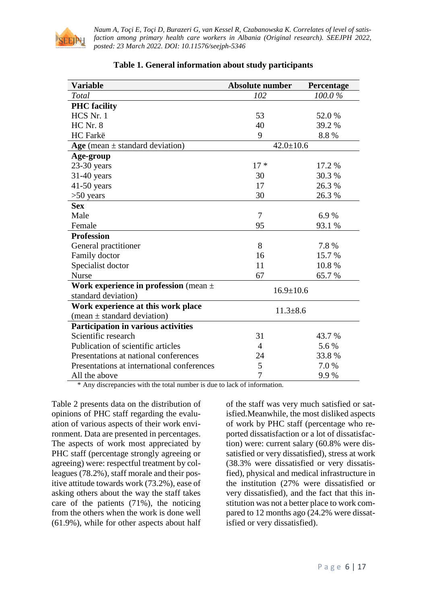

| <b>Variable</b>                            | <b>Absolute number</b> | Percentage |
|--------------------------------------------|------------------------|------------|
| Total                                      | 102                    | 100.0%     |
| <b>PHC</b> facility                        |                        |            |
| HCS Nr. 1                                  | 53                     | 52.0 %     |
| $HC$ Nr. $8$                               | 40                     | 39.2 %     |
| HC Farkë                                   | 9                      | 8.8%       |
| Age (mean $\pm$ standard deviation)        | $42.0 \pm 10.6$        |            |
| Age-group                                  |                        |            |
| $23-30$ years                              | $17 *$                 | 17.2 %     |
| $31-40$ years                              | 30                     | 30.3 %     |
| $41-50$ years                              | 17                     | 26.3%      |
| $>50$ years                                | 30                     | 26.3 %     |
| <b>Sex</b>                                 |                        |            |
| Male                                       | 7                      | 6.9%       |
| Female                                     | 95                     | 93.1 %     |
| <b>Profession</b>                          |                        |            |
| General practitioner                       | 8                      | 7.8%       |
| Family doctor                              | 16                     | 15.7 %     |
| Specialist doctor                          | 11                     | 10.8%      |
| <b>Nurse</b>                               | 67                     | 65.7%      |
| Work experience in profession (mean $\pm$  | $16.9 \pm 10.6$        |            |
| standard deviation)                        |                        |            |
| Work experience at this work place         | $11.3 \pm 8.6$         |            |
| (mean $\pm$ standard deviation)            |                        |            |
| Participation in various activities        |                        |            |
| Scientific research                        | 31                     | 43.7 %     |
| Publication of scientific articles         | $\overline{4}$         | 5.6 %      |
| Presentations at national conferences      | 24                     | 33.8%      |
| Presentations at international conferences | 5                      | 7.0%       |
| All the above                              | $\overline{7}$         | 9.9%       |

# **Table 1. General information about study participants**

\* Any discrepancies with the total number is due to lack of information.

Table 2 presents data on the distribution of opinions of PHC staff regarding the evaluation of various aspects of their work environment. Data are presented in percentages. The aspects of work most appreciated by PHC staff (percentage strongly agreeing or agreeing) were: respectful treatment by colleagues (78.2%), staff morale and their positive attitude towards work (73.2%), ease of asking others about the way the staff takes care of the patients (71%), the noticing from the others when the work is done well (61.9%), while for other aspects about half of the staff was very much satisfied or satisfied.Meanwhile, the most disliked aspects of work by PHC staff (percentage who reported dissatisfaction or a lot of dissatisfaction) were: current salary (60.8% were dissatisfied or very dissatisfied), stress at work (38.3% were dissatisfied or very dissatisfied), physical and medical infrastructure in the institution (27% were dissatisfied or very dissatisfied), and the fact that this institution was not a better place to work compared to 12 months ago (24.2% were dissatisfied or very dissatisfied).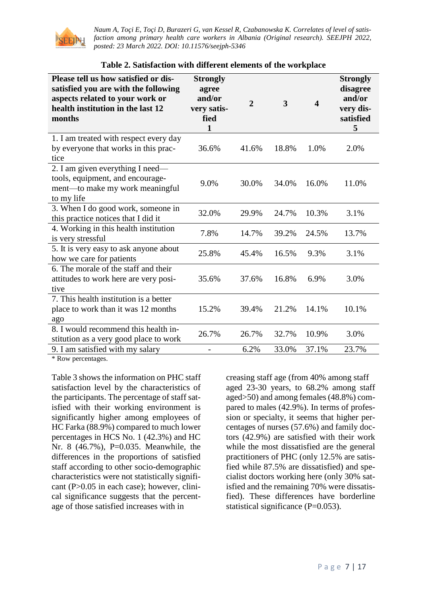

| Please tell us how satisfied or dis-<br>satisfied you are with the following<br>aspects related to your work or<br>health institution in the last 12<br>months | <b>Strongly</b><br>agree<br>and/or<br>very satis-<br>fied<br>1 | $\overline{2}$ | 3     | $\overline{\mathbf{4}}$ | <b>Strongly</b><br>disagree<br>and/or<br>very dis-<br>satisfied<br>5 |
|----------------------------------------------------------------------------------------------------------------------------------------------------------------|----------------------------------------------------------------|----------------|-------|-------------------------|----------------------------------------------------------------------|
| 1. I am treated with respect every day<br>by everyone that works in this prac-<br>tice                                                                         | 36.6%                                                          | 41.6%          | 18.8% | 1.0%                    | 2.0%                                                                 |
| 2. I am given everything I need—<br>tools, equipment, and encourage-<br>ment-to make my work meaningful<br>to my life                                          | 9.0%                                                           | 30.0%          | 34.0% | 16.0%                   | 11.0%                                                                |
| 3. When I do good work, someone in<br>this practice notices that I did it                                                                                      | 32.0%                                                          | 29.9%          | 24.7% | 10.3%                   | 3.1%                                                                 |
| 4. Working in this health institution<br>is very stressful                                                                                                     | 7.8%                                                           | 14.7%          | 39.2% | 24.5%                   | 13.7%                                                                |
| 5. It is very easy to ask anyone about<br>how we care for patients                                                                                             | 25.8%                                                          | 45.4%          | 16.5% | 9.3%                    | 3.1%                                                                 |
| 6. The morale of the staff and their<br>attitudes to work here are very posi-<br>tive                                                                          | 35.6%                                                          | 37.6%          | 16.8% | 6.9%                    | 3.0%                                                                 |
| 7. This health institution is a better<br>place to work than it was 12 months<br>ago                                                                           | 15.2%                                                          | 39.4%          | 21.2% | 14.1%                   | 10.1%                                                                |
| 8. I would recommend this health in-<br>stitution as a very good place to work                                                                                 | 26.7%                                                          | 26.7%          | 32.7% | 10.9%                   | 3.0%                                                                 |
| 9. I am satisfied with my salary<br>$\sim$ n                                                                                                                   |                                                                | 6.2%           | 33.0% | 37.1%                   | 23.7%                                                                |

#### **Table 2. Satisfaction with different elements of the workplace**

\* Row percentages.

Table 3 shows the information on PHC staff satisfaction level by the characteristics of the participants. The percentage of staff satisfied with their working environment is significantly higher among employees of HC Farka (88.9%) compared to much lower percentages in HCS No. 1 (42.3%) and HC Nr. 8 (46.7%), P=0.035. Meanwhile, the differences in the proportions of satisfied staff according to other socio-demographic characteristics were not statistically significant (P>0.05 in each case); however, clinical significance suggests that the percentage of those satisfied increases with in

creasing staff age (from 40% among staff aged 23-30 years, to 68.2% among staff aged>50) and among females (48.8%) compared to males (42.9%). In terms of profession or specialty, it seems that higher percentages of nurses (57.6%) and family doctors (42.9%) are satisfied with their work while the most dissatisfied are the general practitioners of PHC (only 12.5% are satisfied while 87.5% are dissatisfied) and specialist doctors working here (only 30% satisfied and the remaining 70% were dissatisfied). These differences have borderline statistical significance (P=0.053).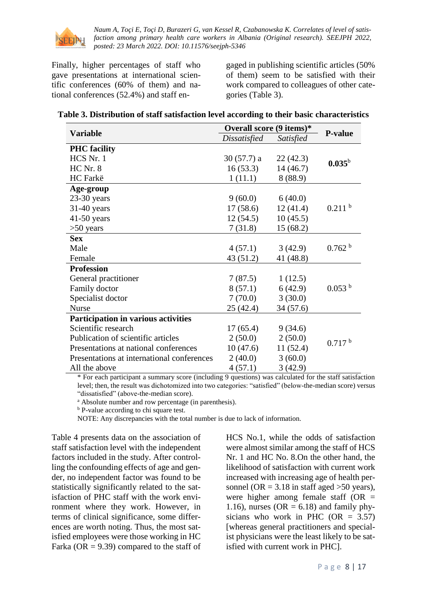

Finally, higher percentages of staff who gave presentations at international scientific conferences (60% of them) and national conferences (52.4%) and staff engaged in publishing scientific articles (50% of them) seem to be satisfied with their work compared to colleagues of other categories (Table 3).

|  |  |  | Table 3. Distribution of staff satisfaction level according to their basic characteristics |
|--|--|--|--------------------------------------------------------------------------------------------|
|--|--|--|--------------------------------------------------------------------------------------------|

|                                            | Overall score (9 items)* |           |                    |
|--------------------------------------------|--------------------------|-----------|--------------------|
| <b>Variable</b>                            | Dissatisfied             | Satisfied | <b>P-value</b>     |
| <b>PHC</b> facility                        |                          |           |                    |
| HCS Nr. 1                                  | 30(57.7) a               | 22(42.3)  | $0.035^{\rm b}$    |
| $HC$ Nr. $8$                               | 16(53.3)                 | 14(46.7)  |                    |
| HC Farkë                                   | 1(11.1)                  | 8(88.9)   |                    |
| Age-group                                  |                          |           |                    |
| $23-30$ years                              | 9(60.0)                  | 6(40.0)   |                    |
| $31-40$ years                              | 17(58.6)                 | 12(41.4)  | 0.211 <sup>b</sup> |
| $41-50$ years                              | 12(54.5)                 | 10(45.5)  |                    |
| $>50$ years                                | 7(31.8)                  | 15(68.2)  |                    |
| <b>Sex</b>                                 |                          |           |                    |
| Male                                       | 4(57.1)                  | 3(42.9)   | 0.762 <sup>b</sup> |
| Female                                     | 43 (51.2)                | 41 (48.8) |                    |
| <b>Profession</b>                          |                          |           |                    |
| General practitioner                       | 7(87.5)                  | 1(12.5)   |                    |
| Family doctor                              | 8(57.1)                  | 6(42.9)   | 0.053 <sup>b</sup> |
| Specialist doctor                          | 7(70.0)                  | 3(30.0)   |                    |
| <b>Nurse</b>                               | 25(42.4)                 | 34 (57.6) |                    |
| Participation in various activities        |                          |           |                    |
| Scientific research                        | 17(65.4)                 | 9(34.6)   |                    |
| Publication of scientific articles         | 2(50.0)                  | 2(50.0)   | 0.717 <sup>b</sup> |
| Presentations at national conferences      | 10(47.6)                 | 11(52.4)  |                    |
| Presentations at international conferences | 2(40.0)                  | 3(60.0)   |                    |
| All the above                              | 4(57.1)                  | 3(42.9)   |                    |

\* For each participant a summary score (including 9 questions) was calculated for the staff satisfaction level; then, the result was dichotomized into two categories: "satisfied" (below-the-median score) versus "dissatisfied" (above-the-median score).

<sup>a</sup> Absolute number and row percentage (in parenthesis).

<sup>b</sup> P-value according to chi square test.

NOTE: Any discrepancies with the total number is due to lack of information.

Table 4 presents data on the association of staff satisfaction level with the independent factors included in the study. After controlling the confounding effects of age and gender, no independent factor was found to be statistically significantly related to the satisfaction of PHC staff with the work environment where they work. However, in terms of clinical significance, some differences are worth noting. Thus, the most satisfied employees were those working in HC Farka ( $OR = 9.39$ ) compared to the staff of HCS No.1, while the odds of satisfaction were almost similar among the staff of HCS Nr. 1 and HC No. 8.On the other hand, the likelihood of satisfaction with current work increased with increasing age of health personnel (OR =  $3.18$  in staff aged  $>50$  years), were higher among female staff  $(OR =$ 1.16), nurses ( $OR = 6.18$ ) and family physicians who work in PHC  $(OR = 3.57)$ [whereas general practitioners and specialist physicians were the least likely to be satisfied with current work in PHC].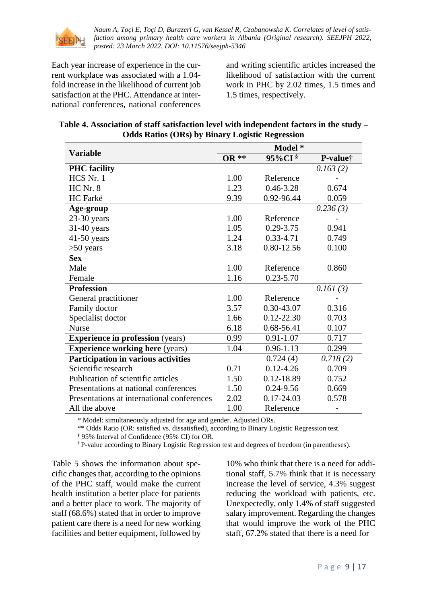

Each year increase of experience in the current workplace was associated with a 1.04 fold increase in the likelihood of current job satisfaction at the PHC. Attendance at international conferences, national conferences and writing scientific articles increased the likelihood of satisfaction with the current work in PHC by 2.02 times, 1.5 times and 1.5 times, respectively.

| Table 4. Association of staff satisfaction level with independent factors in the study – |
|------------------------------------------------------------------------------------------|
| <b>Odds Ratios (ORs) by Binary Logistic Regression</b>                                   |

|                                            | Model *      |                |                      |  |
|--------------------------------------------|--------------|----------------|----------------------|--|
| <b>Variable</b>                            | <b>OR</b> ** | 95%CI §        | P-value <sup>†</sup> |  |
| <b>PHC</b> facility                        |              |                | 0.163(2)             |  |
| HCS Nr. 1                                  | 1.00         | Reference      |                      |  |
| $HC$ Nr. $8$                               | 1.23         | 0.46-3.28      | 0.674                |  |
| HC Farkë                                   | 9.39         | 0.92-96.44     | 0.059                |  |
| Age-group                                  |              |                | 0.236(3)             |  |
| $23-30$ years                              | 1.00         | Reference      |                      |  |
| 31-40 years                                | 1.05         | $0.29 - 3.75$  | 0.941                |  |
| $41-50$ years                              | 1.24         | 0.33-4.71      | 0.749                |  |
| $>50$ years                                | 3.18         | 0.80-12.56     | 0.100                |  |
| <b>Sex</b>                                 |              |                |                      |  |
| Male                                       | 1.00         | Reference      | 0.860                |  |
| Female                                     | 1.16         | $0.23 - 5.70$  |                      |  |
| <b>Profession</b>                          |              |                | 0.161(3)             |  |
| General practitioner                       | 1.00         | Reference      |                      |  |
| Family doctor                              | 3.57         | 0.30-43.07     | 0.316                |  |
| Specialist doctor                          | 1.66         | $0.12 - 22.30$ | 0.703                |  |
| <b>Nurse</b>                               | 6.18         | 0.68-56.41     | 0.107                |  |
| <b>Experience in profession</b> (years)    | 0.99         | $0.91 - 1.07$  | 0.717                |  |
| <b>Experience working here (years)</b>     | 1.04         | $0.96 - 1.13$  | 0.299                |  |
| Participation in various activities        |              | 0.724(4)       | 0.718(2)             |  |
| Scientific research                        | 0.71         | $0.12 - 4.26$  | 0.709                |  |
| Publication of scientific articles         | 1.50         | 0.12-18.89     | 0.752                |  |
| Presentations at national conferences      | 1.50         | $0.24 - 9.56$  | 0.669                |  |
| Presentations at international conferences | 2.02         | 0.17-24.03     | 0.578                |  |
| All the above                              | 1.00         | Reference      | -                    |  |

\* Model: simultaneously adjusted for age and gender. Adjusted ORs.

\*\* Odds Ratio (OR: satisfied vs. dissatisfied), according to Binary Logistic Regression test.

**§** 95% Interval of Confidence (95% CI) for OR.

† P-value according to Binary Logistic Regression test and degrees of freedom (in parentheses).

Table 5 shows the information about specific changes that, according to the opinions of the PHC staff, would make the current health institution a better place for patients and a better place to work. The majority of staff (68.6%) stated that in order to improve patient care there is a need for new working facilities and better equipment, followed by

10% who think that there is a need for additional staff, 5.7% think that it is necessary increase the level of service, 4.3% suggest reducing the workload with patients, etc. Unexpectedly, only 1.4% of staff suggested salary improvement. Regarding the changes that would improve the work of the PHC staff, 67.2% stated that there is a need for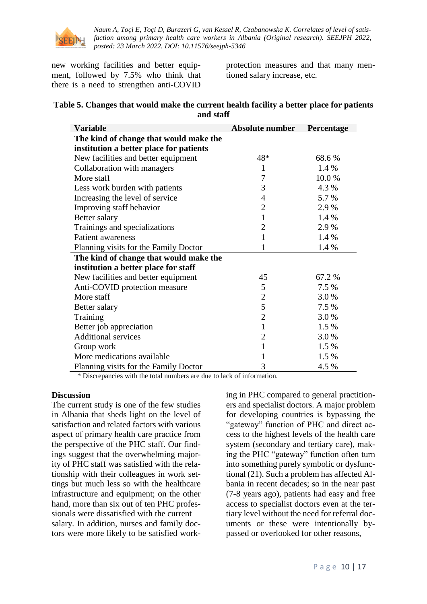

new working facilities and better equipment, followed by 7.5% who think that there is a need to strengthen anti-COVID protection measures and that many mentioned salary increase, etc.

| Table 5. Changes that would make the current health facility a better place for patients |
|------------------------------------------------------------------------------------------|
| and staff                                                                                |

| <b>Variable</b>                         | Absolute number | Percentage |
|-----------------------------------------|-----------------|------------|
| The kind of change that would make the  |                 |            |
| institution a better place for patients |                 |            |
| New facilities and better equipment     | 48*             | 68.6 %     |
| Collaboration with managers             | 1               | 1.4 %      |
| More staff                              | 7               | 10.0%      |
| Less work burden with patients          | 3               | 4.3 %      |
| Increasing the level of service         | 4               | 5.7 %      |
| Improving staff behavior                | $\overline{2}$  | 2.9%       |
| Better salary                           | $\mathbf{1}$    | 1.4 %      |
| Trainings and specializations           | $\overline{2}$  | 2.9%       |
| Patient awareness                       | 1               | 1.4 %      |
| Planning visits for the Family Doctor   | 1               | 1.4 %      |
| The kind of change that would make the  |                 |            |
| institution a better place for staff    |                 |            |
| New facilities and better equipment     | 45              | 67.2 %     |
| Anti-COVID protection measure           | 5               | 7.5 %      |
| More staff                              | $\overline{2}$  | 3.0%       |
| Better salary                           | 5               | 7.5 %      |
| Training                                | $\overline{2}$  | 3.0%       |
| Better job appreciation                 | $\mathbf{1}$    | 1.5 %      |
| <b>Additional services</b>              | $\overline{2}$  | 3.0%       |
| Group work                              | $\mathbf{1}$    | 1.5 %      |
| More medications available              | 1               | 1.5 %      |
| Planning visits for the Family Doctor   | 3               | 4.5 %      |

\* Discrepancies with the total numbers are due to lack of information.

#### **Discussion**

The current study is one of the few studies in Albania that sheds light on the level of satisfaction and related factors with various aspect of primary health care practice from the perspective of the PHC staff. Our findings suggest that the overwhelming majority of PHC staff was satisfied with the relationship with their colleagues in work settings but much less so with the healthcare infrastructure and equipment; on the other hand, more than six out of ten PHC professionals were dissatisfied with the current salary. In addition, nurses and family doctors were more likely to be satisfied working in PHC compared to general practitioners and specialist doctors. A major problem for developing countries is bypassing the "gateway" function of PHC and direct access to the highest levels of the health care system (secondary and tertiary care), making the PHC "gateway" function often turn into something purely symbolic or dysfunctional (21). Such a problem has affected Albania in recent decades; so in the near past (7-8 years ago), patients had easy and free access to specialist doctors even at the tertiary level without the need for referral documents or these were intentionally bypassed or overlooked for other reasons,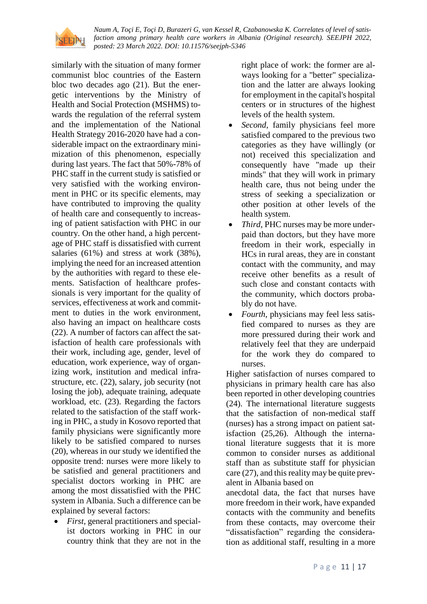

similarly with the situation of many former communist bloc countries of the Eastern bloc two decades ago (21). But the energetic interventions by the Ministry of Health and Social Protection (MSHMS) towards the regulation of the referral system and the implementation of the National Health Strategy 2016-2020 have had a considerable impact on the extraordinary minimization of this phenomenon, especially during last years. The fact that 50%-78% of PHC staff in the current study is satisfied or very satisfied with the working environment in PHC or its specific elements, may have contributed to improving the quality of health care and consequently to increasing of patient satisfaction with PHC in our country. On the other hand, a high percentage of PHC staff is dissatisfied with current salaries (61%) and stress at work (38%), implying the need for an increased attention by the authorities with regard to these elements. Satisfaction of healthcare professionals is very important for the quality of services, effectiveness at work and commitment to duties in the work environment, also having an impact on healthcare costs (22). A number of factors can affect the satisfaction of health care professionals with their work, including age, gender, level of education, work experience, way of organizing work, institution and medical infrastructure, etc. (22), salary, job security (not losing the job), adequate training, adequate workload, etc. (23). Regarding the factors related to the satisfaction of the staff working in PHC, a study in Kosovo reported that family physicians were significantly more likely to be satisfied compared to nurses (20), whereas in our study we identified the opposite trend: nurses were more likely to be satisfied and general practitioners and specialist doctors working in PHC are among the most dissatisfied with the PHC system in Albania. Such a difference can be explained by several factors:

 *First*, general practitioners and specialist doctors working in PHC in our country think that they are not in the right place of work: the former are always looking for a "better" specialization and the latter are always looking for employment in the capital's hospital centers or in structures of the highest levels of the health system.

- *Second*, family physicians feel more satisfied compared to the previous two categories as they have willingly (or not) received this specialization and consequently have "made up their minds" that they will work in primary health care, thus not being under the stress of seeking a specialization or other position at other levels of the health system.
- *Third*, PHC nurses may be more underpaid than doctors, but they have more freedom in their work, especially in HCs in rural areas, they are in constant contact with the community, and may receive other benefits as a result of such close and constant contacts with the community, which doctors probably do not have.
- *Fourth*, physicians may feel less satisfied compared to nurses as they are more pressured during their work and relatively feel that they are underpaid for the work they do compared to nurses.

Higher satisfaction of nurses compared to physicians in primary health care has also been reported in other developing countries (24). The international literature suggests that the satisfaction of non-medical staff (nurses) has a strong impact on patient satisfaction (25,26). Although the international literature suggests that it is more common to consider nurses as additional staff than as substitute staff for physician care (27), and this reality may be quite prevalent in Albania based on

anecdotal data, the fact that nurses have more freedom in their work, have expanded contacts with the community and benefits from these contacts, may overcome their "dissatisfaction" regarding the consideration as additional staff, resulting in a more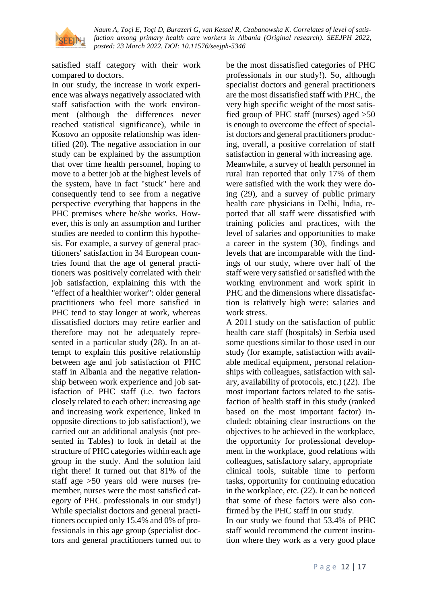

satisfied staff category with their work compared to doctors.

In our study, the increase in work experience was always negatively associated with staff satisfaction with the work environment (although the differences never reached statistical significance), while in Kosovo an opposite relationship was identified (20). The negative association in our study can be explained by the assumption that over time health personnel, hoping to move to a better job at the highest levels of the system, have in fact "stuck" here and consequently tend to see from a negative perspective everything that happens in the PHC premises where he/she works. However, this is only an assumption and further studies are needed to confirm this hypothesis. For example, a survey of general practitioners' satisfaction in 34 European countries found that the age of general practitioners was positively correlated with their job satisfaction, explaining this with the "effect of a healthier worker": older general practitioners who feel more satisfied in PHC tend to stay longer at work, whereas dissatisfied doctors may retire earlier and therefore may not be adequately represented in a particular study (28). In an attempt to explain this positive relationship between age and job satisfaction of PHC staff in Albania and the negative relationship between work experience and job satisfaction of PHC staff (i.e. two factors closely related to each other: increasing age and increasing work experience, linked in opposite directions to job satisfaction!), we carried out an additional analysis (not presented in Tables) to look in detail at the structure of PHC categories within each age group in the study. And the solution laid right there! It turned out that 81% of the staff age >50 years old were nurses (remember, nurses were the most satisfied category of PHC professionals in our study!) While specialist doctors and general practitioners occupied only 15.4% and 0% of professionals in this age group (specialist doctors and general practitioners turned out to

be the most dissatisfied categories of PHC professionals in our study!). So, although specialist doctors and general practitioners are the most dissatisfied staff with PHC, the very high specific weight of the most satisfied group of PHC staff (nurses) aged >50 is enough to overcome the effect of specialist doctors and general practitioners producing, overall, a positive correlation of staff satisfaction in general with increasing age. Meanwhile, a survey of health personnel in rural Iran reported that only 17% of them were satisfied with the work they were doing (29), and a survey of public primary health care physicians in Delhi, India, reported that all staff were dissatisfied with training policies and practices, with the level of salaries and opportunities to make a career in the system (30), findings and levels that are incomparable with the findings of our study, where over half of the staff were very satisfied or satisfied with the working environment and work spirit in PHC and the dimensions where dissatisfaction is relatively high were: salaries and work stress.

A 2011 study on the satisfaction of public health care staff (hospitals) in Serbia used some questions similar to those used in our study (for example, satisfaction with available medical equipment, personal relationships with colleagues, satisfaction with salary, availability of protocols, etc.) (22). The most important factors related to the satisfaction of health staff in this study (ranked based on the most important factor) included: obtaining clear instructions on the objectives to be achieved in the workplace, the opportunity for professional development in the workplace, good relations with colleagues, satisfactory salary, appropriate clinical tools, suitable time to perform tasks, opportunity for continuing education in the workplace, etc. (22). It can be noticed that some of these factors were also confirmed by the PHC staff in our study.

In our study we found that 53.4% of PHC staff would recommend the current institution where they work as a very good place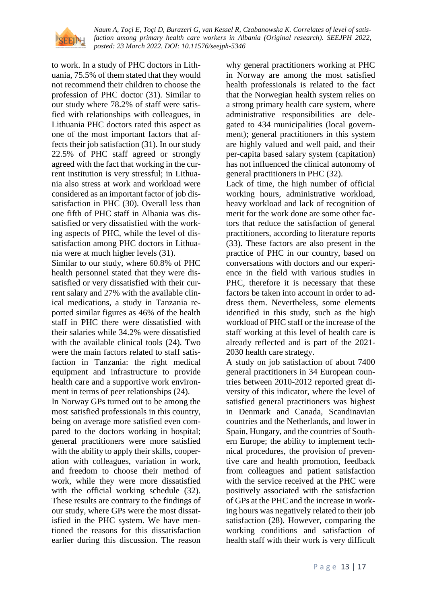

to work. In a study of PHC doctors in Lithuania, 75.5% of them stated that they would not recommend their children to choose the profession of PHC doctor (31). Similar to our study where 78.2% of staff were satisfied with relationships with colleagues, in Lithuania PHC doctors rated this aspect as one of the most important factors that affects their job satisfaction (31). In our study 22.5% of PHC staff agreed or strongly agreed with the fact that working in the current institution is very stressful; in Lithuania also stress at work and workload were considered as an important factor of job dissatisfaction in PHC (30). Overall less than one fifth of PHC staff in Albania was dissatisfied or very dissatisfied with the working aspects of PHC, while the level of dissatisfaction among PHC doctors in Lithuania were at much higher levels (31).

Similar to our study, where 60.8% of PHC health personnel stated that they were dissatisfied or very dissatisfied with their current salary and 27% with the available clinical medications, a study in Tanzania reported similar figures as 46% of the health staff in PHC there were dissatisfied with their salaries while 34.2% were dissatisfied with the available clinical tools (24). Two were the main factors related to staff satisfaction in Tanzania: the right medical equipment and infrastructure to provide health care and a supportive work environment in terms of peer relationships (24).

In Norway GPs turned out to be among the most satisfied professionals in this country, being on average more satisfied even compared to the doctors working in hospital; general practitioners were more satisfied with the ability to apply their skills, cooperation with colleagues, variation in work, and freedom to choose their method of work, while they were more dissatisfied with the official working schedule (32). These results are contrary to the findings of our study, where GPs were the most dissatisfied in the PHC system. We have mentioned the reasons for this dissatisfaction earlier during this discussion. The reason

why general practitioners working at PHC in Norway are among the most satisfied health professionals is related to the fact that the Norwegian health system relies on a strong primary health care system, where administrative responsibilities are delegated to 434 municipalities (local government); general practitioners in this system are highly valued and well paid, and their per-capita based salary system (capitation) has not influenced the clinical autonomy of general practitioners in PHC (32).

Lack of time, the high number of official working hours, administrative workload, heavy workload and lack of recognition of merit for the work done are some other factors that reduce the satisfaction of general practitioners, according to literature reports (33). These factors are also present in the practice of PHC in our country, based on conversations with doctors and our experience in the field with various studies in PHC, therefore it is necessary that these factors be taken into account in order to address them. Nevertheless, some elements identified in this study, such as the high workload of PHC staff or the increase of the staff working at this level of health care is already reflected and is part of the 2021- 2030 health care strategy.

A study on job satisfaction of about 7400 general practitioners in 34 European countries between 2010-2012 reported great diversity of this indicator, where the level of satisfied general practitioners was highest in Denmark and Canada, Scandinavian countries and the Netherlands, and lower in Spain, Hungary, and the countries of Southern Europe; the ability to implement technical procedures, the provision of preventive care and health promotion, feedback from colleagues and patient satisfaction with the service received at the PHC were positively associated with the satisfaction of GPs at the PHC and the increase in working hours was negatively related to their job satisfaction (28). However, comparing the working conditions and satisfaction of health staff with their work is very difficult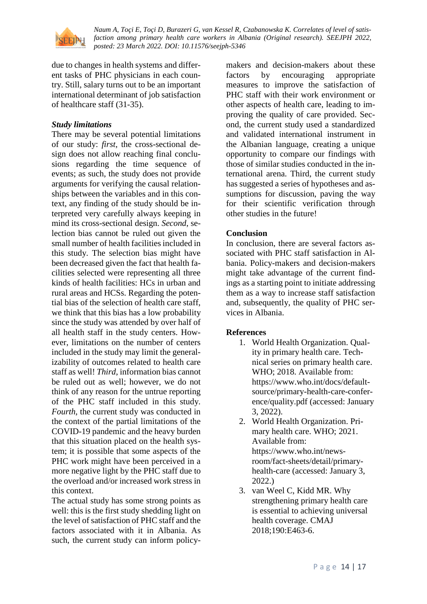

due to changes in health systems and different tasks of PHC physicians in each country. Still, salary turns out to be an important international determinant of job satisfaction of healthcare staff (31-35).

### *Study limitations*

There may be several potential limitations of our study: *first*, the cross-sectional design does not allow reaching final conclusions regarding the time sequence of events; as such, the study does not provide arguments for verifying the causal relationships between the variables and in this context, any finding of the study should be interpreted very carefully always keeping in mind its cross-sectional design. *Second*, selection bias cannot be ruled out given the small number of health facilities included in this study. The selection bias might have been decreased given the fact that health facilities selected were representing all three kinds of health facilities: HCs in urban and rural areas and HCSs. Regarding the potential bias of the selection of health care staff, we think that this bias has a low probability since the study was attended by over half of all health staff in the study centers. However, limitations on the number of centers included in the study may limit the generalizability of outcomes related to health care staff as well! *Third*, information bias cannot be ruled out as well; however, we do not think of any reason for the untrue reporting of the PHC staff included in this study. *Fourth*, the current study was conducted in the context of the partial limitations of the COVID-19 pandemic and the heavy burden that this situation placed on the health system; it is possible that some aspects of the PHC work might have been perceived in a more negative light by the PHC staff due to the overload and/or increased work stress in this context.

The actual study has some strong points as well: this is the first study shedding light on the level of satisfaction of PHC staff and the factors associated with it in Albania. As such, the current study can inform policymakers and decision-makers about these factors by encouraging appropriate measures to improve the satisfaction of PHC staff with their work environment or other aspects of health care, leading to improving the quality of care provided. Second, the current study used a standardized and validated international instrument in the Albanian language, creating a unique opportunity to compare our findings with those of similar studies conducted in the international arena. Third, the current study has suggested a series of hypotheses and assumptions for discussion, paving the way for their scientific verification through other studies in the future!

## **Conclusion**

In conclusion, there are several factors associated with PHC staff satisfaction in Albania. Policy-makers and decision-makers might take advantage of the current findings as a starting point to initiate addressing them as a way to increase staff satisfaction and, subsequently, the quality of PHC services in Albania.

# **References**

- 1. World Health Organization. Quality in primary health care. Technical series on primary health care. WHO; 2018. Available from: https://www.who.int/docs/defaultsource/primary-health-care-conference/quality.pdf (accessed: January 3, 2022).
- 2. World Health Organization. Primary health care. WHO; 2021. Available from: https://www.who.int/newsroom/fact-sheets/detail/primaryhealth-care (accessed: January 3, 2022.)
- 3. van Weel C, Kidd MR. Why strengthening primary health care is essential to achieving universal health coverage. CMAJ 2018;190:E463-6.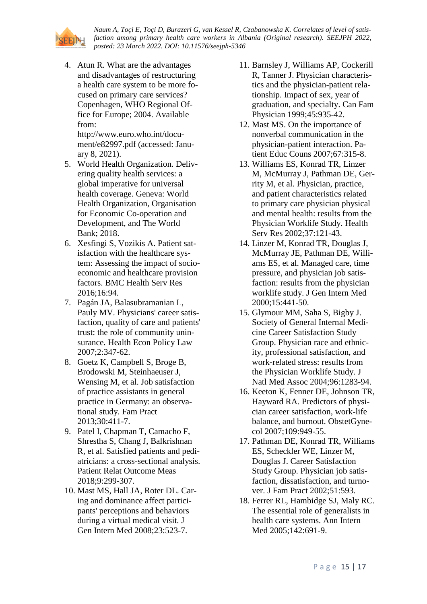

4. Atun R. What are the advantages and disadvantages of restructuring a health care system to be more focused on primary care services? Copenhagen, WHO Regional Office for Europe; 2004. Available from:

http://www.euro.who.int/document/e82997.pdf (accessed: January 8, 2021).

- 5. World Health Organization. Delivering quality health services: a global imperative for universal health coverage. Geneva: World Health Organization, Organisation for Economic Co-operation and Development, and The World Bank; 2018.
- 6. Xesfingi S, Vozikis A. Patient satisfaction with the healthcare system: Assessing the impact of socioeconomic and healthcare provision factors. BMC Health Serv Res 2016;16:94.
- 7. Pagán JA, Balasubramanian L, Pauly MV. Physicians' career satisfaction, quality of care and patients' trust: the role of community uninsurance. Health Econ Policy Law 2007;2:347-62.
- 8. Goetz K, Campbell S, Broge B, Brodowski M, Steinhaeuser J, Wensing M, et al. Job satisfaction of practice assistants in general practice in Germany: an observational study. Fam Pract 2013;30:411-7.
- 9. Patel I, Chapman T, Camacho F, Shrestha S, Chang J, Balkrishnan R, et al. Satisfied patients and pediatricians: a cross-sectional analysis. Patient Relat Outcome Meas 2018;9:299-307.
- 10. Mast MS, Hall JA, Roter DL. Caring and dominance affect participants' perceptions and behaviors during a virtual medical visit. J Gen Intern Med 2008;23:523-7.
- 11. Barnsley J, Williams AP, Cockerill R, Tanner J. Physician characteristics and the physician-patient relationship. Impact of sex, year of graduation, and specialty. Can Fam Physician 1999;45:935-42.
- 12. Mast MS. On the importance of nonverbal communication in the physician-patient interaction. Patient Educ Couns 2007;67:315-8.
- 13. Williams ES, Konrad TR, Linzer M, McMurray J, Pathman DE, Gerrity M, et al. Physician, practice, and patient characteristics related to primary care physician physical and mental health: results from the Physician Worklife Study. Health Serv Res 2002;37:121-43.
- 14. Linzer M, Konrad TR, Douglas J, McMurray JE, Pathman DE, Williams ES, et al. Managed care, time pressure, and physician job satisfaction: results from the physician worklife study. J Gen Intern Med 2000;15:441-50.
- 15. Glymour MM, Saha S, Bigby J. Society of General Internal Medicine Career Satisfaction Study Group. Physician race and ethnicity, professional satisfaction, and work-related stress: results from the Physician Worklife Study. J Natl Med Assoc 2004;96:1283-94.
- 16. Keeton K, Fenner DE, Johnson TR, Hayward RA. Predictors of physician career satisfaction, work-life balance, and burnout. ObstetGynecol 2007;109:949-55.
- 17. Pathman DE, Konrad TR, Williams ES, Scheckler WE, Linzer M, Douglas J. Career Satisfaction Study Group. Physician job satisfaction, dissatisfaction, and turnover. J Fam Pract 2002;51:593.
- 18. Ferrer RL, Hambidge SJ, Maly RC. The essential role of generalists in health care systems. Ann Intern Med 2005;142:691-9.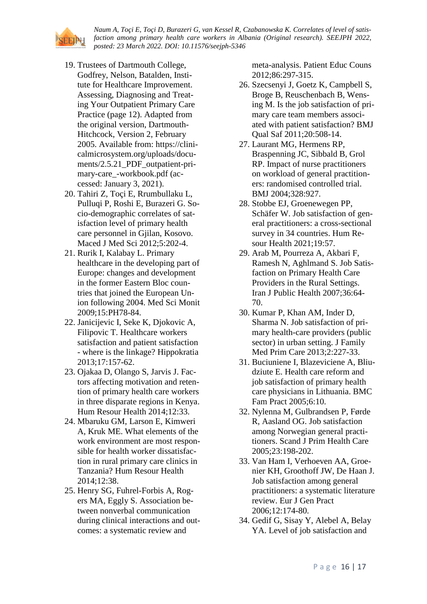

- 19. Trustees of Dartmouth College, Godfrey, Nelson, Batalden, Institute for Healthcare Improvement. Assessing, Diagnosing and Treating Your Outpatient Primary Care Practice (page 12). Adapted from the original version, Dartmouth-Hitchcock, Version 2, February 2005. Available from: https://clinicalmicrosystem.org/uploads/documents/2.5.21\_PDF\_outpatient-primary-care\_-workbook.pdf (accessed: January 3, 2021).
- 20. Tahiri Z, Toçi E, Rrumbullaku L, Pulluqi P, Roshi E, Burazeri G. Socio-demographic correlates of satisfaction level of primary health care personnel in Gjilan, Kosovo. Maced J Med Sci 2012;5:202-4.
- 21. Rurik I, Kalabay L. Primary healthcare in the developing part of Europe: changes and development in the former Eastern Bloc countries that joined the European Union following 2004. Med Sci Monit 2009;15:PH78-84.
- 22. Janicijevic I, Seke K, Djokovic A, Filipovic T. Healthcare workers satisfaction and patient satisfaction - where is the linkage? Hippokratia 2013;17:157-62.
- 23. Ojakaa D, Olango S, Jarvis J. Factors affecting motivation and retention of primary health care workers in three disparate regions in Kenya. Hum Resour Health 2014;12:33.
- 24. Mbaruku GM, Larson E, Kimweri A, Kruk ME. What elements of the work environment are most responsible for health worker dissatisfaction in rural primary care clinics in Tanzania? Hum Resour Health 2014;12:38.
- 25. Henry SG, Fuhrel-Forbis A, Rogers MA, Eggly S. Association between nonverbal communication during clinical interactions and outcomes: a systematic review and

meta-analysis. Patient Educ Couns 2012;86:297-315.

- 26. Szecsenyi J, Goetz K, Campbell S, Broge B, Reuschenbach B, Wensing M. Is the job satisfaction of primary care team members associated with patient satisfaction? BMJ Qual Saf 2011;20:508-14.
- 27. Laurant MG, Hermens RP, Braspenning JC, Sibbald B, Grol RP. Impact of nurse practitioners on workload of general practitioners: randomised controlled trial. BMJ 2004;328:927.
- 28. Stobbe EJ, Groenewegen PP, Schäfer W. Job satisfaction of general practitioners: a cross-sectional survey in 34 countries. Hum Resour Health 2021;19:57.
- 29. Arab M, Pourreza A, Akbari F, Ramesh N, Aghlmand S. Job Satisfaction on Primary Health Care Providers in the Rural Settings. Iran J Public Health 2007;36:64- 70.
- 30. Kumar P, Khan AM, Inder D, Sharma N. Job satisfaction of primary health-care providers (public sector) in urban setting. J Family Med Prim Care 2013;2:227-33.
- 31. Buciuniene I, Blazeviciene A, Bliudziute E. Health care reform and job satisfaction of primary health care physicians in Lithuania. BMC Fam Pract 2005;6:10.
- 32. Nylenna M, Gulbrandsen P, Førde R, Aasland OG. Job satisfaction among Norwegian general practitioners. Scand J Prim Health Care 2005;23:198-202.
- 33. Van Ham I, Verhoeven AA, Groenier KH, Groothoff JW, De Haan J. Job satisfaction among general practitioners: a systematic literature review. Eur J Gen Pract 2006;12:174-80.
- 34. Gedif G, Sisay Y, Alebel A, Belay YA. Level of job satisfaction and